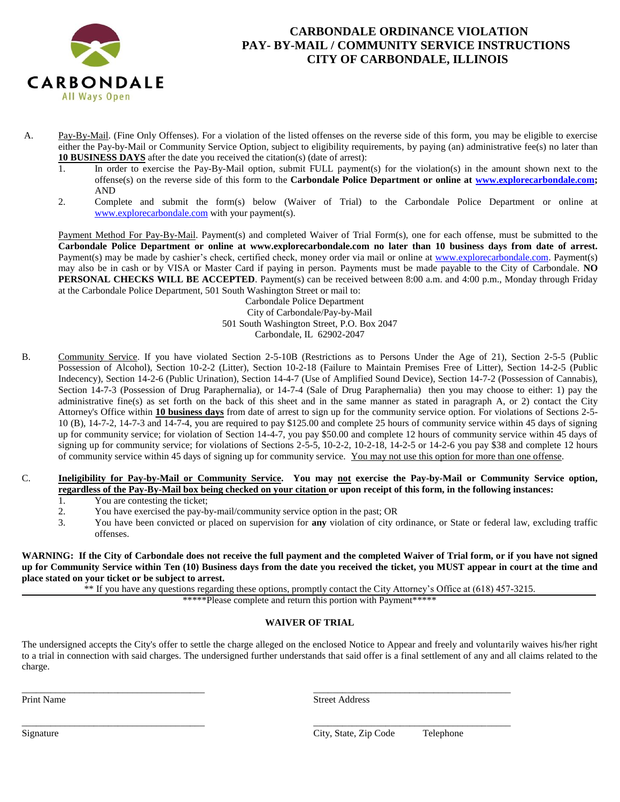

## **CARBONDALE ORDINANCE VIOLATION PAY- BY-MAIL / COMMUNITY SERVICE INSTRUCTIONS CITY OF CARBONDALE, ILLINOIS**

- A. Pay-By-Mail. (Fine Only Offenses). For a violation of the listed offenses on the reverse side of this form, you may be eligible to exercise either the Pay-by-Mail or Community Service Option, subject to eligibility requirements, by paying (an) administrative fee(s) no later than **10 BUSINESS DAYS** after the date you received the citation(s) (date of arrest):
	- 1. In order to exercise the Pay-By-Mail option, submit FULL payment(s) for the violation(s) in the amount shown next to the offense(s) on the reverse side of this form to the **Carbondale Police Department or online at [www.explorecarbondale.com;](http://www.explorecarbondale.com/)** AND
	- 2. Complete and submit the form(s) below (Waiver of Trial) to the Carbondale Police Department or online at [www.explorecarbondale.com](http://www.explorecarbondale.com/) with your payment(s).

Payment Method For Pay-By-Mail. Payment(s) and completed Waiver of Trial Form(s), one for each offense, must be submitted to the **Carbondale Police Department or online at www.explorecarbondale.com no later than 10 business days from date of arrest.** Payment(s) may be made by cashier's check, certified check, money order via mail or online at [www.explorecarbondale.com.](http://www.explorecarbondale.com/) Payment(s) may also be in cash or by VISA or Master Card if paying in person. Payments must be made payable to the City of Carbondale. **NO PERSONAL CHECKS WILL BE ACCEPTED**. Payment(s) can be received between 8:00 a.m. and 4:00 p.m., Monday through Friday at the Carbondale Police Department, 501 South Washington Street or mail to:

 Carbondale Police Department City of Carbondale/Pay-by-Mail 501 South Washington Street, P.O. Box 2047 Carbondale, IL 62902-2047

B. Community Service. If you have violated Section 2-5-10B (Restrictions as to Persons Under the Age of 21), Section 2-5-5 (Public Possession of Alcohol), Section 10-2-2 (Litter), Section 10-2-18 (Failure to Maintain Premises Free of Litter), Section 14-2-5 (Public Indecency), Section 14-2-6 (Public Urination), Section 14-4-7 (Use of Amplified Sound Device), Section 14-7-2 (Possession of Cannabis), Section 14-7-3 (Possession of Drug Paraphernalia), or 14-7-4 (Sale of Drug Paraphernalia) then you may choose to either: 1) pay the administrative fine(s) as set forth on the back of this sheet and in the same manner as stated in paragraph A, or 2) contact the City Attorney's Office within **10 business days** from date of arrest to sign up for the community service option. For violations of Sections 2-5- 10 (B), 14-7-2, 14-7-3 and 14-7-4, you are required to pay \$125.00 and complete 25 hours of community service within 45 days of signing up for community service; for violation of Section 14-4-7, you pay \$50.00 and complete 12 hours of community service within 45 days of signing up for community service; for violations of Sections 2-5-5, 10-2-2, 10-2-18, 14-2-5 or 14-2-6 you pay \$38 and complete 12 hours of community service within 45 days of signing up for community service. You may not use this option for more than one offense.

## C. **Ineligibility for Pay-by-Mail or Community Service. You may not exercise the Pay-by-Mail or Community Service option, regardless of the Pay-By-Mail box being checked on your citation or upon receipt of this form, in the following instances:**

- 1. You are contesting the ticket;
- 2. You have exercised the pay-by-mail/community service option in the past; OR
- 3. You have been convicted or placed on supervision for **any** violation of city ordinance, or State or federal law, excluding traffic offenses.

**WARNING: If the City of Carbondale does not receive the full payment and the completed Waiver of Trial form, or if you have not signed up for Community Service within Ten (10) Business days from the date you received the ticket, you MUST appear in court at the time and place stated on your ticket or be subject to arrest.**

\*\* If you have any questions regarding these options, promptly contact the City Attorney's Office at (618) 457-3215.

\*\*\*\*\*Please complete and return this portion with Payment\*\*\*\*\*

## **WAIVER OF TRIAL**

The undersigned accepts the City's offer to settle the charge alleged on the enclosed Notice to Appear and freely and voluntarily waives his/her right to a trial in connection with said charges. The undersigned further understands that said offer is a final settlement of any and all claims related to the charge.

\_\_\_\_\_\_\_\_\_\_\_\_\_\_\_\_\_\_\_\_\_\_\_\_\_\_\_\_\_\_\_\_\_\_\_\_\_\_ \_\_\_\_\_\_\_\_\_\_\_\_\_\_\_\_\_\_\_\_\_\_\_\_\_\_\_\_\_\_\_\_\_\_\_\_\_\_\_\_\_

Print Name Street Address

\_\_\_\_\_\_\_\_\_\_\_\_\_\_\_\_\_\_\_\_\_\_\_\_\_\_\_\_\_\_\_\_\_\_\_\_\_\_ \_\_\_\_\_\_\_\_\_\_\_\_\_\_\_\_\_\_\_\_\_\_\_\_\_\_\_\_\_\_\_\_\_\_\_\_\_\_\_\_\_

Signature City, State, Zip Code Telephone